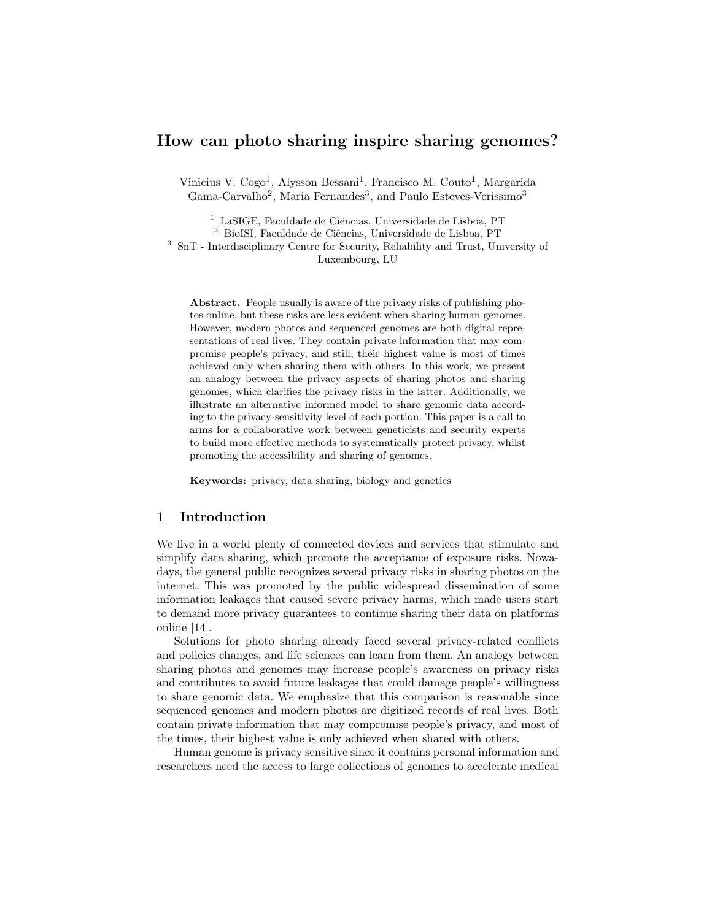# How can photo sharing inspire sharing genomes?

Vinicius V. Cogo<sup>1</sup>, Alysson Bessani<sup>1</sup>, Francisco M. Couto<sup>1</sup>, Margarida Gama-Carvalho<sup>2</sup>, Maria Fernandes<sup>3</sup>, and Paulo Esteves-Verissimo<sup>3</sup>

 LaSIGE, Faculdade de Ciências, Universidade de Lisboa, PT BioISI, Faculdade de Ciências, Universidade de Lisboa, PT SnT - Interdisciplinary Centre for Security, Reliability and Trust, University of Luxembourg, LU

Abstract. People usually is aware of the privacy risks of publishing photos online, but these risks are less evident when sharing human genomes. However, modern photos and sequenced genomes are both digital representations of real lives. They contain private information that may compromise people's privacy, and still, their highest value is most of times achieved only when sharing them with others. In this work, we present an analogy between the privacy aspects of sharing photos and sharing genomes, which clarifies the privacy risks in the latter. Additionally, we illustrate an alternative informed model to share genomic data according to the privacy-sensitivity level of each portion. This paper is a call to arms for a collaborative work between geneticists and security experts to build more effective methods to systematically protect privacy, whilst promoting the accessibility and sharing of genomes.

Keywords: privacy, data sharing, biology and genetics

### 1 Introduction

We live in a world plenty of connected devices and services that stimulate and simplify data sharing, which promote the acceptance of exposure risks. Nowadays, the general public recognizes several privacy risks in sharing photos on the internet. This was promoted by the public widespread dissemination of some information leakages that caused severe privacy harms, which made users start to demand more privacy guarantees to continue sharing their data on platforms online [14].

Solutions for photo sharing already faced several privacy-related conflicts and policies changes, and life sciences can learn from them. An analogy between sharing photos and genomes may increase people's awareness on privacy risks and contributes to avoid future leakages that could damage people's willingness to share genomic data. We emphasize that this comparison is reasonable since sequenced genomes and modern photos are digitized records of real lives. Both contain private information that may compromise people's privacy, and most of the times, their highest value is only achieved when shared with others.

Human genome is privacy sensitive since it contains personal information and researchers need the access to large collections of genomes to accelerate medical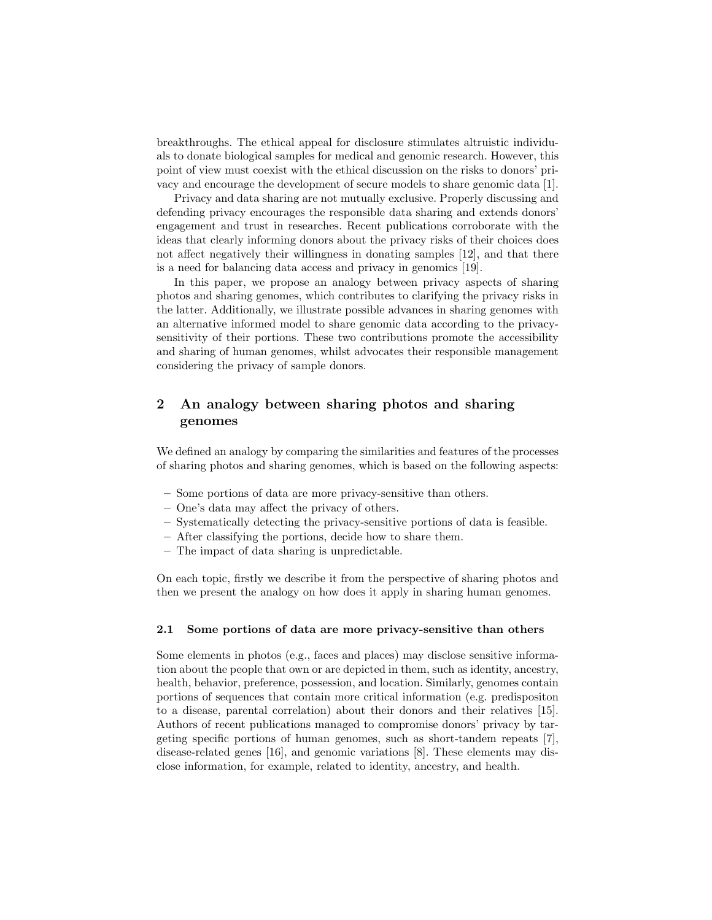breakthroughs. The ethical appeal for disclosure stimulates altruistic individuals to donate biological samples for medical and genomic research. However, this point of view must coexist with the ethical discussion on the risks to donors' privacy and encourage the development of secure models to share genomic data [1].

Privacy and data sharing are not mutually exclusive. Properly discussing and defending privacy encourages the responsible data sharing and extends donors' engagement and trust in researches. Recent publications corroborate with the ideas that clearly informing donors about the privacy risks of their choices does not affect negatively their willingness in donating samples [12], and that there is a need for balancing data access and privacy in genomics [19].

In this paper, we propose an analogy between privacy aspects of sharing photos and sharing genomes, which contributes to clarifying the privacy risks in the latter. Additionally, we illustrate possible advances in sharing genomes with an alternative informed model to share genomic data according to the privacysensitivity of their portions. These two contributions promote the accessibility and sharing of human genomes, whilst advocates their responsible management considering the privacy of sample donors.

# 2 An analogy between sharing photos and sharing genomes

We defined an analogy by comparing the similarities and features of the processes of sharing photos and sharing genomes, which is based on the following aspects:

- Some portions of data are more privacy-sensitive than others.
- One's data may affect the privacy of others.
- Systematically detecting the privacy-sensitive portions of data is feasible.
- After classifying the portions, decide how to share them.
- The impact of data sharing is unpredictable.

On each topic, firstly we describe it from the perspective of sharing photos and then we present the analogy on how does it apply in sharing human genomes.

#### 2.1 Some portions of data are more privacy-sensitive than others

Some elements in photos (e.g., faces and places) may disclose sensitive information about the people that own or are depicted in them, such as identity, ancestry, health, behavior, preference, possession, and location. Similarly, genomes contain portions of sequences that contain more critical information (e.g. predispositon to a disease, parental correlation) about their donors and their relatives [15]. Authors of recent publications managed to compromise donors' privacy by targeting specific portions of human genomes, such as short-tandem repeats [7], disease-related genes [16], and genomic variations [8]. These elements may disclose information, for example, related to identity, ancestry, and health.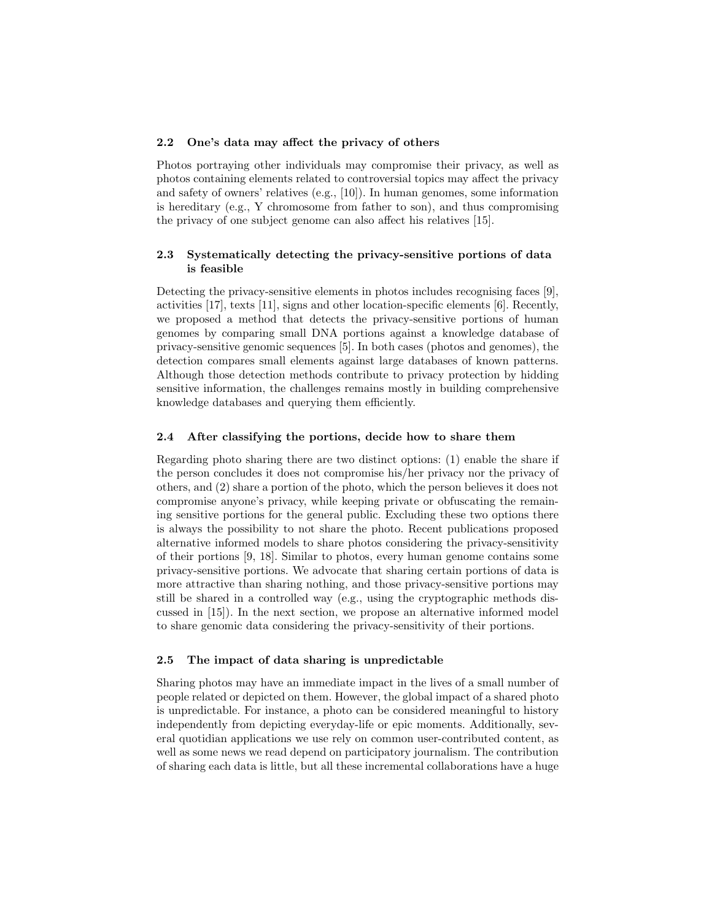#### 2.2 One's data may affect the privacy of others

Photos portraying other individuals may compromise their privacy, as well as photos containing elements related to controversial topics may affect the privacy and safety of owners' relatives (e.g., [10]). In human genomes, some information is hereditary (e.g., Y chromosome from father to son), and thus compromising the privacy of one subject genome can also affect his relatives [15].

### 2.3 Systematically detecting the privacy-sensitive portions of data is feasible

Detecting the privacy-sensitive elements in photos includes recognising faces [9], activities [17], texts [11], signs and other location-specific elements [6]. Recently, we proposed a method that detects the privacy-sensitive portions of human genomes by comparing small DNA portions against a knowledge database of privacy-sensitive genomic sequences [5]. In both cases (photos and genomes), the detection compares small elements against large databases of known patterns. Although those detection methods contribute to privacy protection by hidding sensitive information, the challenges remains mostly in building comprehensive knowledge databases and querying them efficiently.

#### 2.4 After classifying the portions, decide how to share them

Regarding photo sharing there are two distinct options: (1) enable the share if the person concludes it does not compromise his/her privacy nor the privacy of others, and (2) share a portion of the photo, which the person believes it does not compromise anyone's privacy, while keeping private or obfuscating the remaining sensitive portions for the general public. Excluding these two options there is always the possibility to not share the photo. Recent publications proposed alternative informed models to share photos considering the privacy-sensitivity of their portions [9, 18]. Similar to photos, every human genome contains some privacy-sensitive portions. We advocate that sharing certain portions of data is more attractive than sharing nothing, and those privacy-sensitive portions may still be shared in a controlled way (e.g., using the cryptographic methods discussed in [15]). In the next section, we propose an alternative informed model to share genomic data considering the privacy-sensitivity of their portions.

#### 2.5 The impact of data sharing is unpredictable

Sharing photos may have an immediate impact in the lives of a small number of people related or depicted on them. However, the global impact of a shared photo is unpredictable. For instance, a photo can be considered meaningful to history independently from depicting everyday-life or epic moments. Additionally, several quotidian applications we use rely on common user-contributed content, as well as some news we read depend on participatory journalism. The contribution of sharing each data is little, but all these incremental collaborations have a huge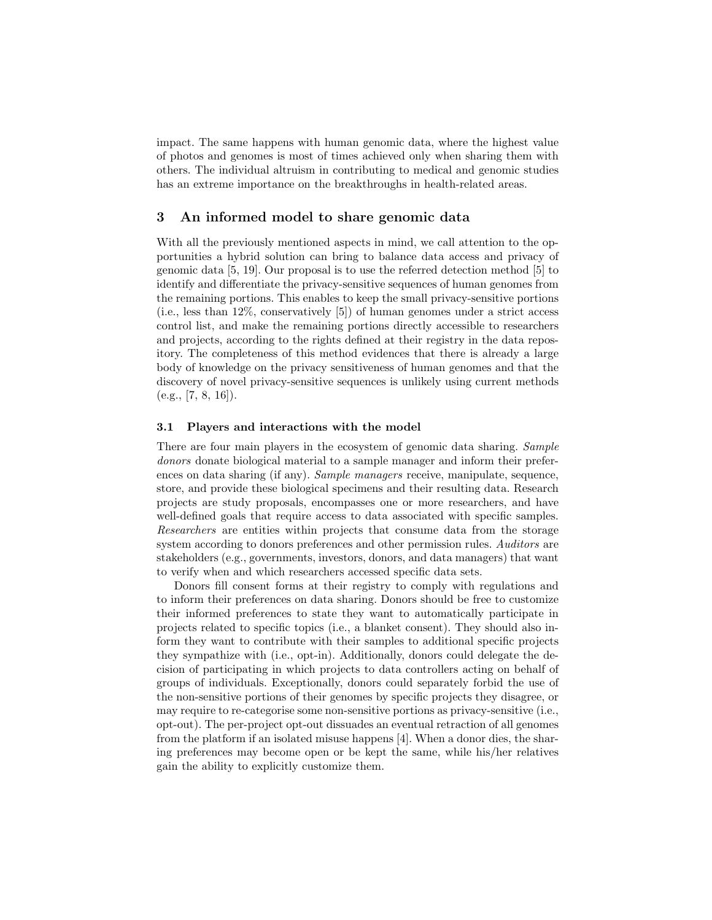impact. The same happens with human genomic data, where the highest value of photos and genomes is most of times achieved only when sharing them with others. The individual altruism in contributing to medical and genomic studies has an extreme importance on the breakthroughs in health-related areas.

### 3 An informed model to share genomic data

With all the previously mentioned aspects in mind, we call attention to the opportunities a hybrid solution can bring to balance data access and privacy of genomic data [5, 19]. Our proposal is to use the referred detection method [5] to identify and differentiate the privacy-sensitive sequences of human genomes from the remaining portions. This enables to keep the small privacy-sensitive portions (i.e., less than 12%, conservatively [5]) of human genomes under a strict access control list, and make the remaining portions directly accessible to researchers and projects, according to the rights defined at their registry in the data repository. The completeness of this method evidences that there is already a large body of knowledge on the privacy sensitiveness of human genomes and that the discovery of novel privacy-sensitive sequences is unlikely using current methods  $(e.g., [7, 8, 16]).$ 

#### 3.1 Players and interactions with the model

There are four main players in the ecosystem of genomic data sharing. Sample donors donate biological material to a sample manager and inform their preferences on data sharing (if any). Sample managers receive, manipulate, sequence, store, and provide these biological specimens and their resulting data. Research projects are study proposals, encompasses one or more researchers, and have well-defined goals that require access to data associated with specific samples. Researchers are entities within projects that consume data from the storage system according to donors preferences and other permission rules. Auditors are stakeholders (e.g., governments, investors, donors, and data managers) that want to verify when and which researchers accessed specific data sets.

Donors fill consent forms at their registry to comply with regulations and to inform their preferences on data sharing. Donors should be free to customize their informed preferences to state they want to automatically participate in projects related to specific topics (i.e., a blanket consent). They should also inform they want to contribute with their samples to additional specific projects they sympathize with (i.e., opt-in). Additionally, donors could delegate the decision of participating in which projects to data controllers acting on behalf of groups of individuals. Exceptionally, donors could separately forbid the use of the non-sensitive portions of their genomes by specific projects they disagree, or may require to re-categorise some non-sensitive portions as privacy-sensitive (i.e., opt-out). The per-project opt-out dissuades an eventual retraction of all genomes from the platform if an isolated misuse happens [4]. When a donor dies, the sharing preferences may become open or be kept the same, while his/her relatives gain the ability to explicitly customize them.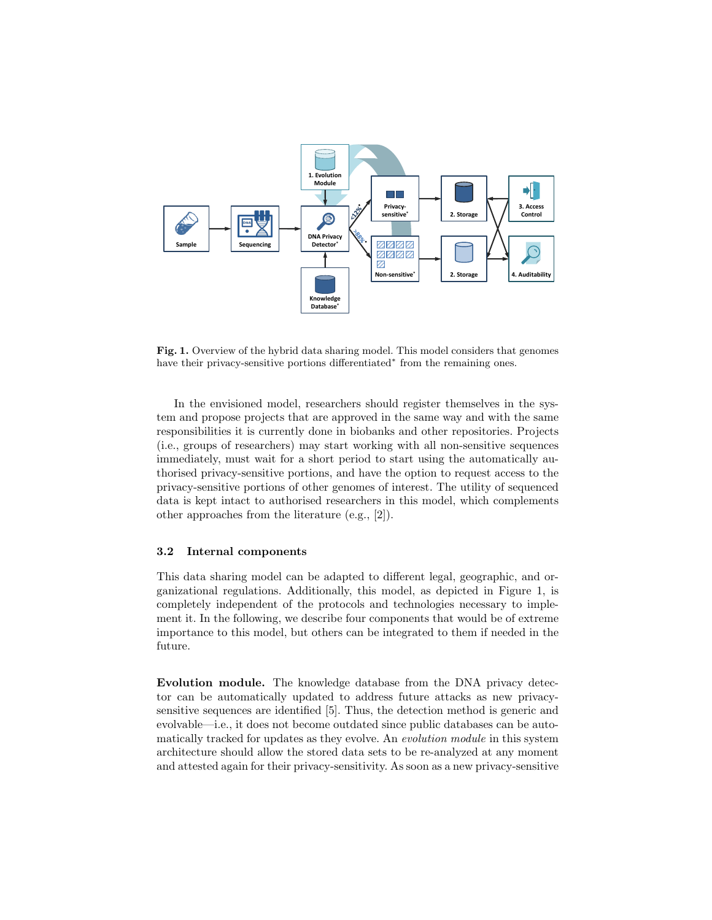

Fig. 1. Overview of the hybrid data sharing model. This model considers that genomes have their privacy-sensitive portions differentiated<sup>∗</sup> from the remaining ones.

In the envisioned model, researchers should register themselves in the system and propose projects that are approved in the same way and with the same responsibilities it is currently done in biobanks and other repositories. Projects (i.e., groups of researchers) may start working with all non-sensitive sequences immediately, must wait for a short period to start using the automatically authorised privacy-sensitive portions, and have the option to request access to the privacy-sensitive portions of other genomes of interest. The utility of sequenced data is kept intact to authorised researchers in this model, which complements other approaches from the literature (e.g., [2]).

#### 3.2 Internal components

This data sharing model can be adapted to different legal, geographic, and organizational regulations. Additionally, this model, as depicted in Figure 1, is completely independent of the protocols and technologies necessary to implement it. In the following, we describe four components that would be of extreme importance to this model, but others can be integrated to them if needed in the future.

Evolution module. The knowledge database from the DNA privacy detector can be automatically updated to address future attacks as new privacysensitive sequences are identified [5]. Thus, the detection method is generic and evolvable—i.e., it does not become outdated since public databases can be automatically tracked for updates as they evolve. An evolution module in this system architecture should allow the stored data sets to be re-analyzed at any moment and attested again for their privacy-sensitivity. As soon as a new privacy-sensitive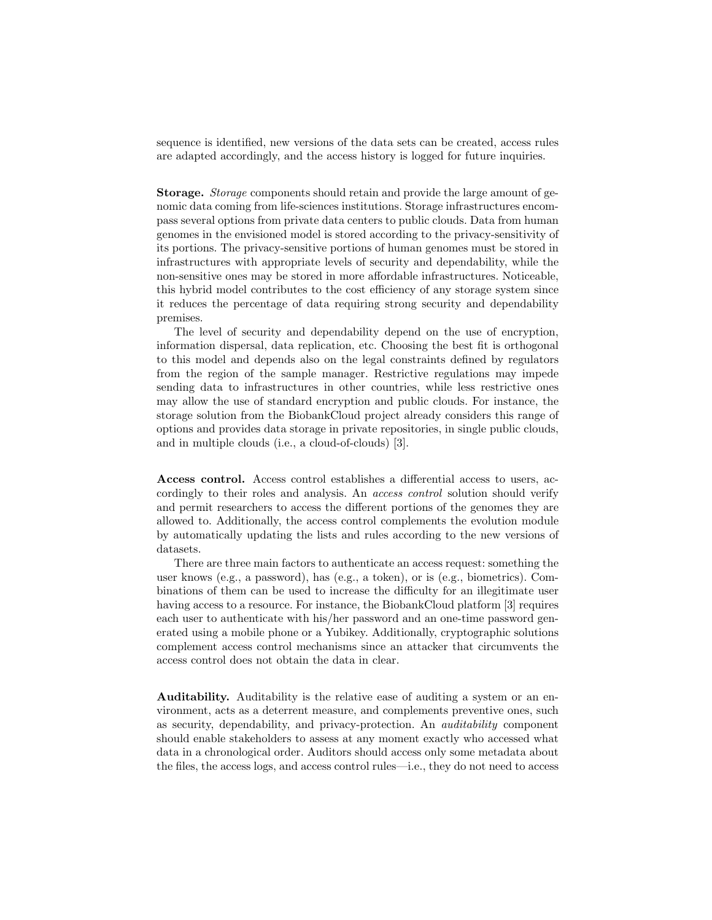sequence is identified, new versions of the data sets can be created, access rules are adapted accordingly, and the access history is logged for future inquiries.

Storage. Storage components should retain and provide the large amount of genomic data coming from life-sciences institutions. Storage infrastructures encompass several options from private data centers to public clouds. Data from human genomes in the envisioned model is stored according to the privacy-sensitivity of its portions. The privacy-sensitive portions of human genomes must be stored in infrastructures with appropriate levels of security and dependability, while the non-sensitive ones may be stored in more affordable infrastructures. Noticeable, this hybrid model contributes to the cost efficiency of any storage system since it reduces the percentage of data requiring strong security and dependability premises.

The level of security and dependability depend on the use of encryption, information dispersal, data replication, etc. Choosing the best fit is orthogonal to this model and depends also on the legal constraints defined by regulators from the region of the sample manager. Restrictive regulations may impede sending data to infrastructures in other countries, while less restrictive ones may allow the use of standard encryption and public clouds. For instance, the storage solution from the BiobankCloud project already considers this range of options and provides data storage in private repositories, in single public clouds, and in multiple clouds (i.e., a cloud-of-clouds) [3].

Access control. Access control establishes a differential access to users, accordingly to their roles and analysis. An *access control* solution should verify and permit researchers to access the different portions of the genomes they are allowed to. Additionally, the access control complements the evolution module by automatically updating the lists and rules according to the new versions of datasets.

There are three main factors to authenticate an access request: something the user knows (e.g., a password), has (e.g., a token), or is (e.g., biometrics). Combinations of them can be used to increase the difficulty for an illegitimate user having access to a resource. For instance, the BiobankCloud platform [3] requires each user to authenticate with his/her password and an one-time password generated using a mobile phone or a Yubikey. Additionally, cryptographic solutions complement access control mechanisms since an attacker that circumvents the access control does not obtain the data in clear.

Auditability. Auditability is the relative ease of auditing a system or an environment, acts as a deterrent measure, and complements preventive ones, such as security, dependability, and privacy-protection. An auditability component should enable stakeholders to assess at any moment exactly who accessed what data in a chronological order. Auditors should access only some metadata about the files, the access logs, and access control rules—i.e., they do not need to access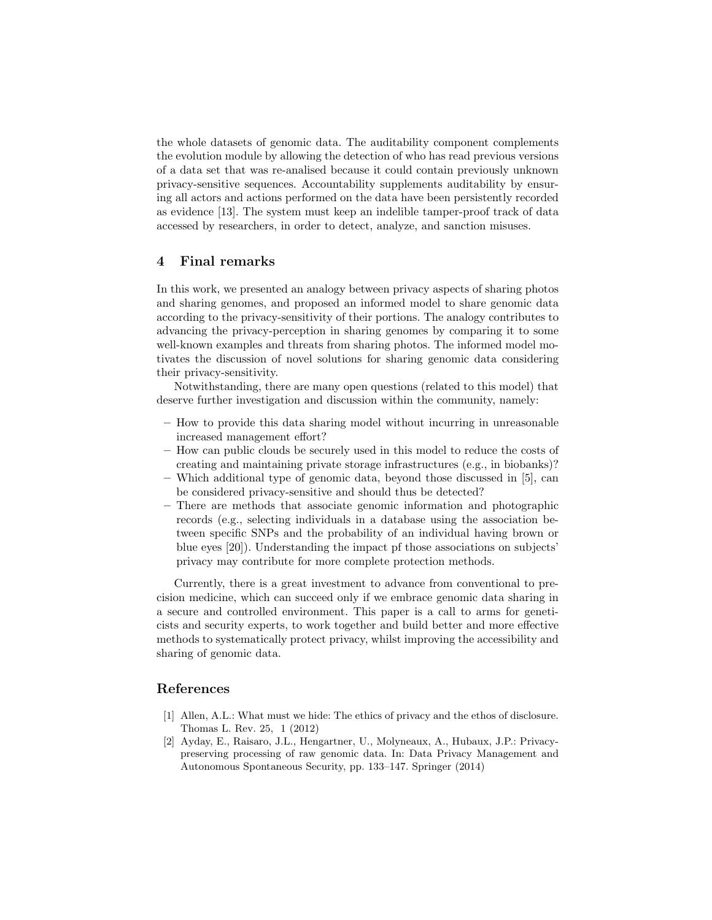the whole datasets of genomic data. The auditability component complements the evolution module by allowing the detection of who has read previous versions of a data set that was re-analised because it could contain previously unknown privacy-sensitive sequences. Accountability supplements auditability by ensuring all actors and actions performed on the data have been persistently recorded as evidence [13]. The system must keep an indelible tamper-proof track of data accessed by researchers, in order to detect, analyze, and sanction misuses.

### 4 Final remarks

In this work, we presented an analogy between privacy aspects of sharing photos and sharing genomes, and proposed an informed model to share genomic data according to the privacy-sensitivity of their portions. The analogy contributes to advancing the privacy-perception in sharing genomes by comparing it to some well-known examples and threats from sharing photos. The informed model motivates the discussion of novel solutions for sharing genomic data considering their privacy-sensitivity.

Notwithstanding, there are many open questions (related to this model) that deserve further investigation and discussion within the community, namely:

- How to provide this data sharing model without incurring in unreasonable increased management effort?
- How can public clouds be securely used in this model to reduce the costs of creating and maintaining private storage infrastructures (e.g., in biobanks)?
- Which additional type of genomic data, beyond those discussed in [5], can be considered privacy-sensitive and should thus be detected?
- There are methods that associate genomic information and photographic records (e.g., selecting individuals in a database using the association between specific SNPs and the probability of an individual having brown or blue eyes [20]). Understanding the impact pf those associations on subjects' privacy may contribute for more complete protection methods.

Currently, there is a great investment to advance from conventional to precision medicine, which can succeed only if we embrace genomic data sharing in a secure and controlled environment. This paper is a call to arms for geneticists and security experts, to work together and build better and more effective methods to systematically protect privacy, whilst improving the accessibility and sharing of genomic data.

## References

- [1] Allen, A.L.: What must we hide: The ethics of privacy and the ethos of disclosure. Thomas L. Rev. 25, 1 (2012)
- [2] Ayday, E., Raisaro, J.L., Hengartner, U., Molyneaux, A., Hubaux, J.P.: Privacypreserving processing of raw genomic data. In: Data Privacy Management and Autonomous Spontaneous Security, pp. 133–147. Springer (2014)